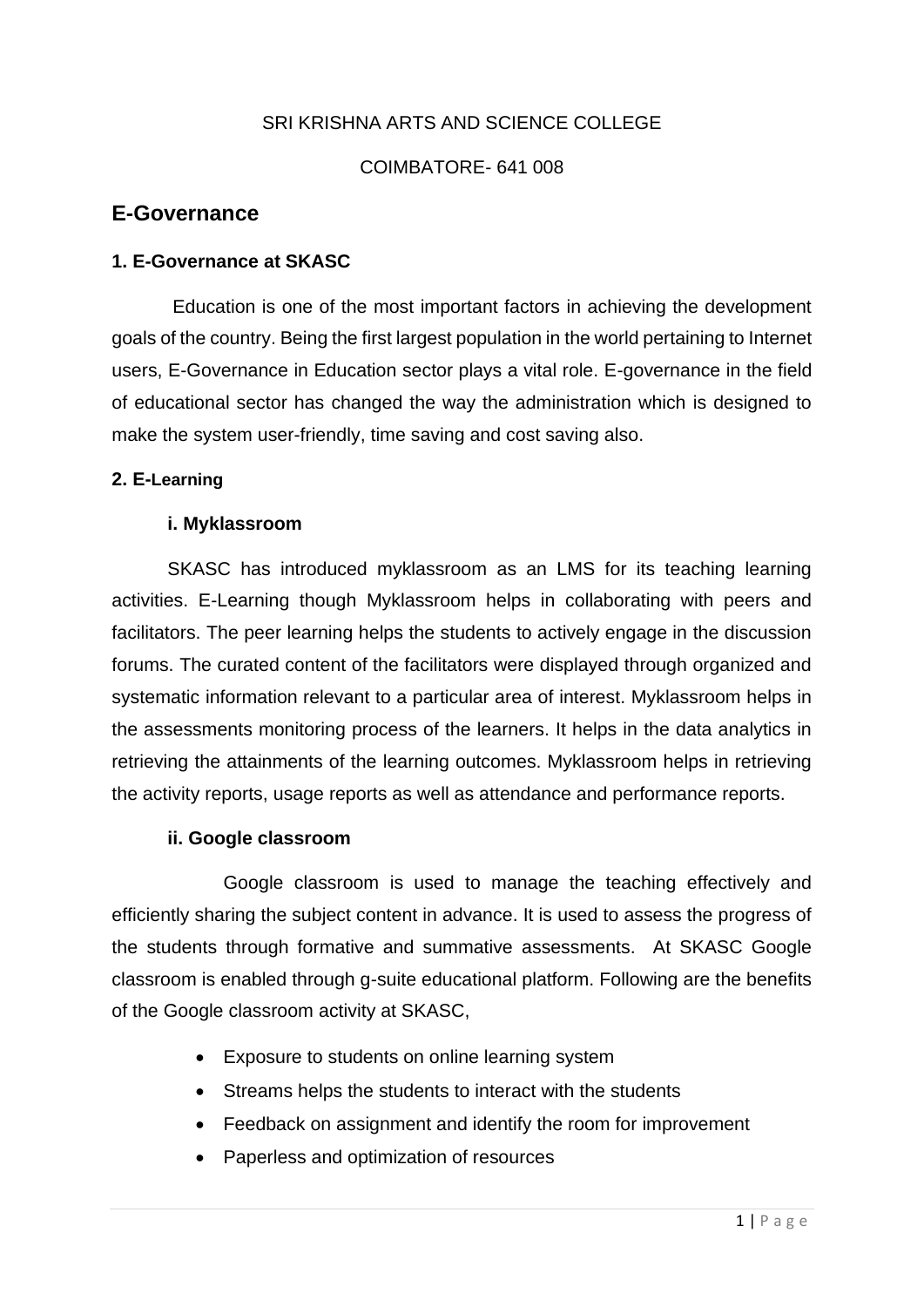# SRI KRISHNA ARTS AND SCIENCE COLLEGE

### COIMBATORE- 641 008

# **E-Governance**

### **1. E-Governance at SKASC**

Education is one of the most important factors in achieving the development goals of the country. Being the first largest population in the world pertaining to Internet users, E-Governance in Education sector plays a vital role. E-governance in the field of educational sector has changed the way the administration which is designed to make the system user-friendly, time saving and cost saving also.

### **2. E-Learning**

### **i. Myklassroom**

SKASC has introduced myklassroom as an LMS for its teaching learning activities. E-Learning though Myklassroom helps in collaborating with peers and facilitators. The peer learning helps the students to actively engage in the discussion forums. The curated content of the facilitators were displayed through organized and systematic information relevant to a particular area of interest. Myklassroom helps in the assessments monitoring process of the learners. It helps in the data analytics in retrieving the attainments of the learning outcomes. Myklassroom helps in retrieving the activity reports, usage reports as well as attendance and performance reports.

#### **ii. Google classroom**

Google classroom is used to manage the teaching effectively and efficiently sharing the subject content in advance. It is used to assess the progress of the students through formative and summative assessments. At SKASC Google classroom is enabled through g-suite educational platform. Following are the benefits of the Google classroom activity at SKASC,

- Exposure to students on online learning system
- Streams helps the students to interact with the students
- Feedback on assignment and identify the room for improvement
- Paperless and optimization of resources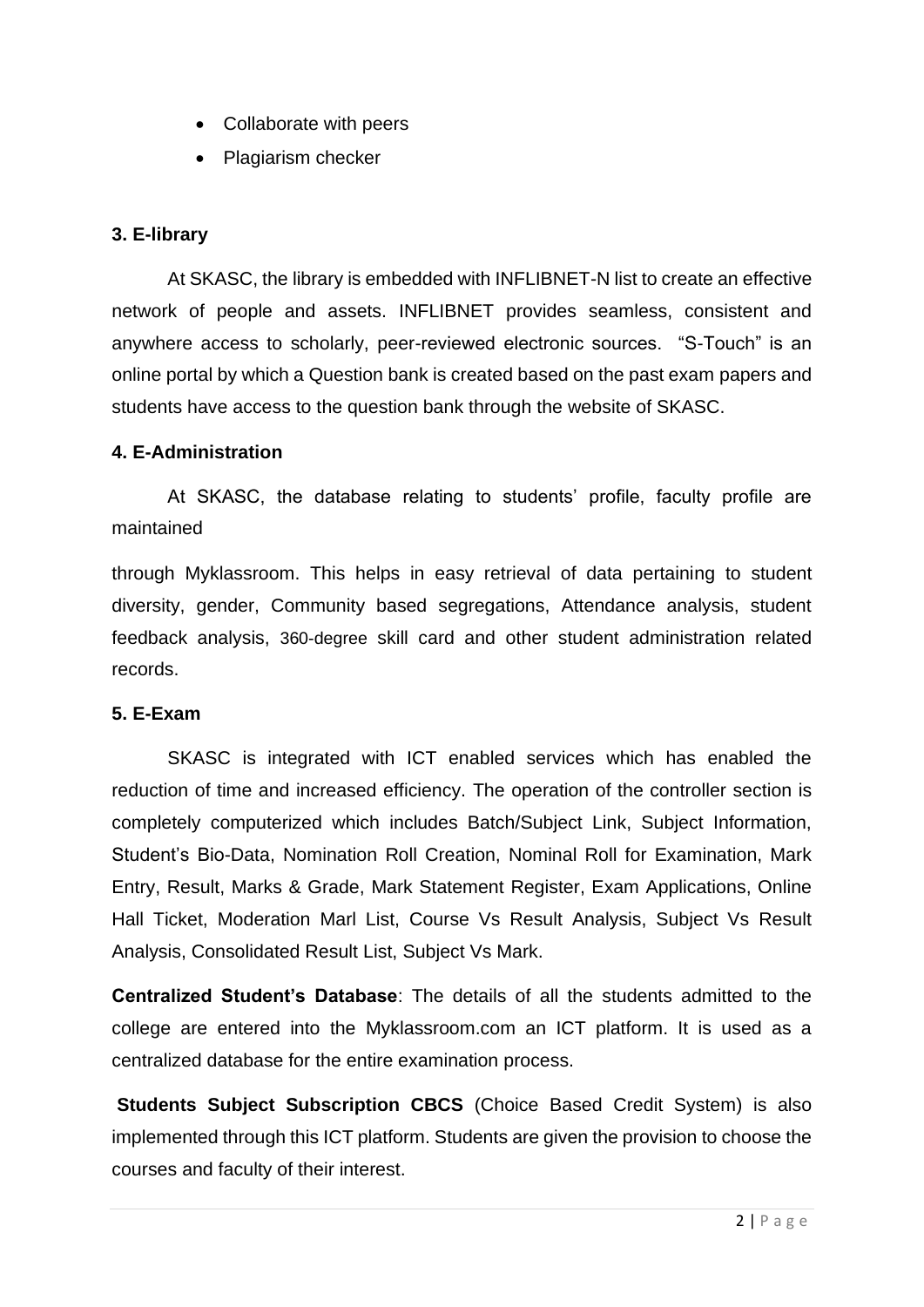- Collaborate with peers
- Plagiarism checker

### **3. E-library**

At SKASC, the library is embedded with INFLIBNET-N list to create an effective network of people and assets. INFLIBNET provides seamless, consistent and anywhere access to scholarly, peer-reviewed electronic sources. "S-Touch" is an online portal by which a Question bank is created based on the past exam papers and students have access to the question bank through the website of SKASC.

#### **4. E-Administration**

At SKASC, the database relating to students' profile, faculty profile are maintained

through Myklassroom. This helps in easy retrieval of data pertaining to student diversity, gender, Community based segregations, Attendance analysis, student feedback analysis, 360-degree skill card and other student administration related records.

#### **5. E-Exam**

SKASC is integrated with ICT enabled services which has enabled the reduction of time and increased efficiency. The operation of the controller section is completely computerized which includes Batch/Subject Link, Subject Information, Student's Bio-Data, Nomination Roll Creation, Nominal Roll for Examination, Mark Entry, Result, Marks & Grade, Mark Statement Register, Exam Applications, Online Hall Ticket, Moderation Marl List, Course Vs Result Analysis, Subject Vs Result Analysis, Consolidated Result List, Subject Vs Mark.

**Centralized Student's Database**: The details of all the students admitted to the college are entered into the Myklassroom.com an ICT platform. It is used as a centralized database for the entire examination process.

**Students Subject Subscription CBCS** (Choice Based Credit System) is also implemented through this ICT platform. Students are given the provision to choose the courses and faculty of their interest.